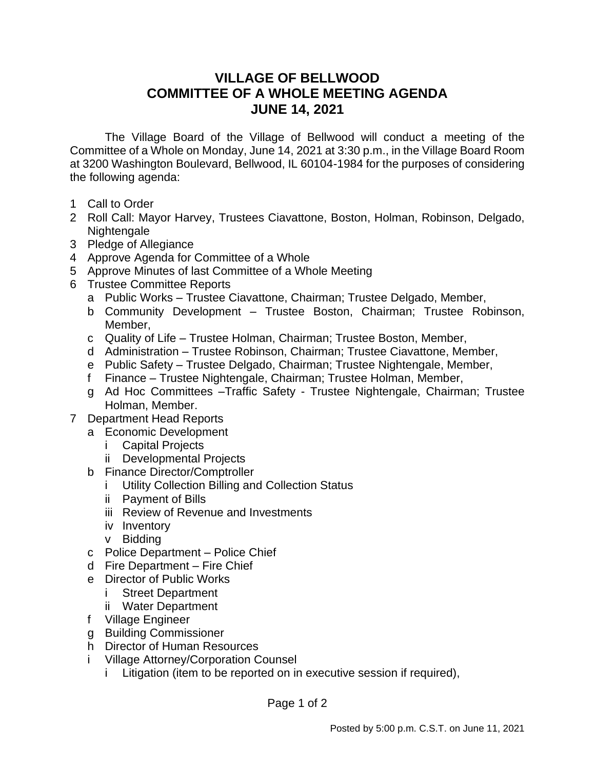## **VILLAGE OF BELLWOOD COMMITTEE OF A WHOLE MEETING AGENDA JUNE 14, 2021**

The Village Board of the Village of Bellwood will conduct a meeting of the Committee of a Whole on Monday, June 14, 2021 at 3:30 p.m., in the Village Board Room at 3200 Washington Boulevard, Bellwood, IL 60104-1984 for the purposes of considering the following agenda:

- 1 Call to Order
- 2 Roll Call: Mayor Harvey, Trustees Ciavattone, Boston, Holman, Robinson, Delgado, Nightengale
- 3 Pledge of Allegiance
- 4 Approve Agenda for Committee of a Whole
- 5 Approve Minutes of last Committee of a Whole Meeting
- 6 Trustee Committee Reports
	- a Public Works Trustee Ciavattone, Chairman; Trustee Delgado, Member,
	- b Community Development Trustee Boston, Chairman; Trustee Robinson, Member,
	- c Quality of Life Trustee Holman, Chairman; Trustee Boston, Member,
	- d Administration Trustee Robinson, Chairman; Trustee Ciavattone, Member,
	- e Public Safety Trustee Delgado, Chairman; Trustee Nightengale, Member,
	- f Finance Trustee Nightengale, Chairman; Trustee Holman, Member,
	- g Ad Hoc Committees –Traffic Safety Trustee Nightengale, Chairman; Trustee Holman, Member.
- 7 Department Head Reports
	- a Economic Development
		- i Capital Projects
		- ii Developmental Projects
	- b Finance Director/Comptroller
		- i Utility Collection Billing and Collection Status
		- ii Payment of Bills
		- iii Review of Revenue and Investments
		- iv Inventory
		- v Bidding
	- c Police Department Police Chief
	- d Fire Department Fire Chief
	- e Director of Public Works
		- i Street Department
		- ii Water Department
	- f Village Engineer
	- g Building Commissioner
	- h Director of Human Resources
	- i Village Attorney/Corporation Counsel
		- i Litigation (item to be reported on in executive session if required),